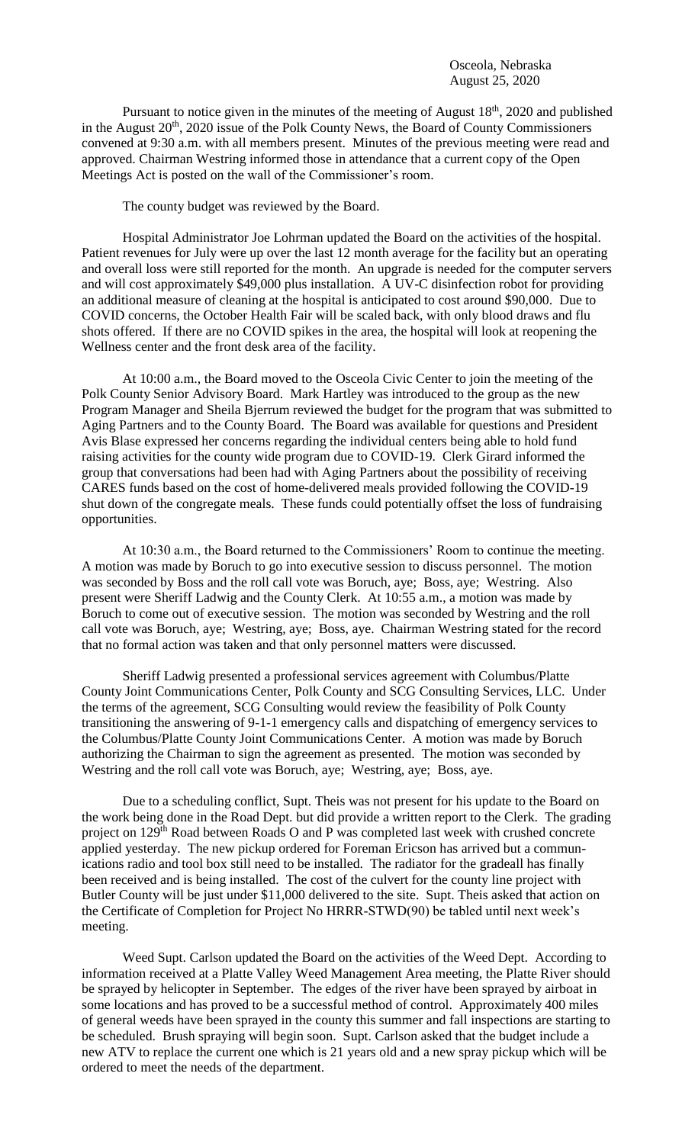Pursuant to notice given in the minutes of the meeting of August 18<sup>th</sup>, 2020 and published in the August  $20<sup>th</sup>$ , 2020 issue of the Polk County News, the Board of County Commissioners convened at 9:30 a.m. with all members present. Minutes of the previous meeting were read and approved. Chairman Westring informed those in attendance that a current copy of the Open Meetings Act is posted on the wall of the Commissioner's room.

The county budget was reviewed by the Board.

Hospital Administrator Joe Lohrman updated the Board on the activities of the hospital. Patient revenues for July were up over the last 12 month average for the facility but an operating and overall loss were still reported for the month. An upgrade is needed for the computer servers and will cost approximately \$49,000 plus installation. A UV-C disinfection robot for providing an additional measure of cleaning at the hospital is anticipated to cost around \$90,000. Due to COVID concerns, the October Health Fair will be scaled back, with only blood draws and flu shots offered. If there are no COVID spikes in the area, the hospital will look at reopening the Wellness center and the front desk area of the facility.

At 10:00 a.m., the Board moved to the Osceola Civic Center to join the meeting of the Polk County Senior Advisory Board. Mark Hartley was introduced to the group as the new Program Manager and Sheila Bjerrum reviewed the budget for the program that was submitted to Aging Partners and to the County Board. The Board was available for questions and President Avis Blase expressed her concerns regarding the individual centers being able to hold fund raising activities for the county wide program due to COVID-19. Clerk Girard informed the group that conversations had been had with Aging Partners about the possibility of receiving CARES funds based on the cost of home-delivered meals provided following the COVID-19 shut down of the congregate meals. These funds could potentially offset the loss of fundraising opportunities.

At 10:30 a.m., the Board returned to the Commissioners' Room to continue the meeting. A motion was made by Boruch to go into executive session to discuss personnel. The motion was seconded by Boss and the roll call vote was Boruch, aye; Boss, aye; Westring. Also present were Sheriff Ladwig and the County Clerk. At 10:55 a.m., a motion was made by Boruch to come out of executive session. The motion was seconded by Westring and the roll call vote was Boruch, aye; Westring, aye; Boss, aye. Chairman Westring stated for the record that no formal action was taken and that only personnel matters were discussed.

Sheriff Ladwig presented a professional services agreement with Columbus/Platte County Joint Communications Center, Polk County and SCG Consulting Services, LLC. Under the terms of the agreement, SCG Consulting would review the feasibility of Polk County transitioning the answering of 9-1-1 emergency calls and dispatching of emergency services to the Columbus/Platte County Joint Communications Center. A motion was made by Boruch authorizing the Chairman to sign the agreement as presented. The motion was seconded by Westring and the roll call vote was Boruch, aye; Westring, aye; Boss, aye.

Due to a scheduling conflict, Supt. Theis was not present for his update to the Board on the work being done in the Road Dept. but did provide a written report to the Clerk. The grading project on 129<sup>th</sup> Road between Roads O and P was completed last week with crushed concrete applied yesterday. The new pickup ordered for Foreman Ericson has arrived but a communications radio and tool box still need to be installed. The radiator for the gradeall has finally been received and is being installed. The cost of the culvert for the county line project with Butler County will be just under \$11,000 delivered to the site. Supt. Theis asked that action on the Certificate of Completion for Project No HRRR-STWD(90) be tabled until next week's meeting.

Weed Supt. Carlson updated the Board on the activities of the Weed Dept. According to information received at a Platte Valley Weed Management Area meeting, the Platte River should be sprayed by helicopter in September. The edges of the river have been sprayed by airboat in some locations and has proved to be a successful method of control. Approximately 400 miles of general weeds have been sprayed in the county this summer and fall inspections are starting to be scheduled. Brush spraying will begin soon. Supt. Carlson asked that the budget include a new ATV to replace the current one which is 21 years old and a new spray pickup which will be ordered to meet the needs of the department.